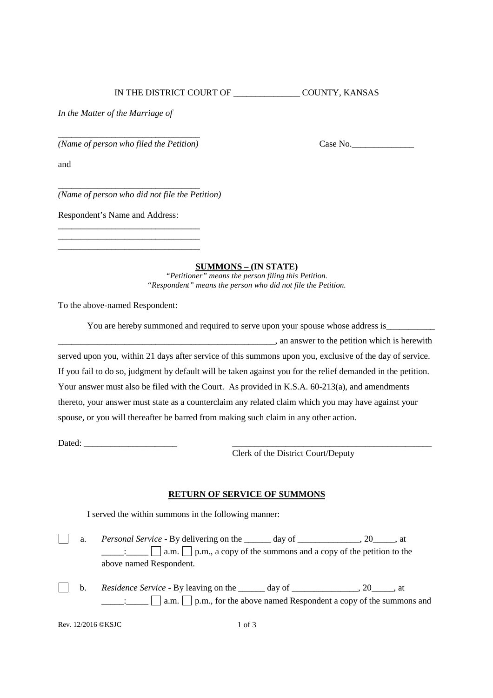IN THE DISTRICT COURT OF \_\_\_\_\_\_\_\_\_\_\_\_\_\_\_ COUNTY, KANSAS

*In the Matter of the Marriage of*

\_\_\_\_\_\_\_\_\_\_\_\_\_\_\_\_\_\_\_\_\_\_\_\_\_\_\_\_\_\_\_\_ *(Name of person who filed the Petition)* Case No.\_\_\_\_\_\_\_\_\_\_\_\_\_\_

and

\_\_\_\_\_\_\_\_\_\_\_\_\_\_\_\_\_\_\_\_\_\_\_\_\_\_\_\_\_\_\_\_ *(Name of person who did not file the Petition)*

Respondent's Name and Address:

\_\_\_\_\_\_\_\_\_\_\_\_\_\_\_\_\_\_\_\_\_\_\_\_\_\_\_\_\_\_\_\_ \_\_\_\_\_\_\_\_\_\_\_\_\_\_\_\_\_\_\_\_\_\_\_\_\_\_\_\_\_\_\_\_ \_\_\_\_\_\_\_\_\_\_\_\_\_\_\_\_\_\_\_\_\_\_\_\_\_\_\_\_\_\_\_\_

**SUMMONS – (IN STATE)**

*"Petitioner" means the person filing this Petition. "Respondent" means the person who did not file the Petition.*

To the above-named Respondent:

| You are hereby summoned and required to serve upon your spouse whose address is                              |  |
|--------------------------------------------------------------------------------------------------------------|--|
| , an answer to the petition which is herewith                                                                |  |
| served upon you, within 21 days after service of this summons upon you, exclusive of the day of service.     |  |
| If you fail to do so, judgment by default will be taken against you for the relief demanded in the petition. |  |
| Your answer must also be filed with the Court. As provided in K.S.A. 60-213(a), and amendments               |  |
| thereto, your answer must state as a counterclaim any related claim which you may have against your          |  |
| spouse, or you will thereafter be barred from making such claim in any other action.                         |  |

Dated:

Clerk of the District Court/Deputy

## **RETURN OF SERVICE OF SUMMONS**

I served the within summons in the following manner:

a. *Personal Service* - By delivering on the \_\_\_\_\_ day of \_\_\_\_\_\_\_\_\_\_\_, 20\_\_\_\_, at  $\mathbb{R}^n$  $\Box$ :  $\Box$  a.m.  $\Box$  p.m., a copy of the summons and a copy of the petition to the above named Respondent.

b. *Residence Service -* By leaving on the \_\_\_\_\_\_ day of \_\_\_\_\_\_\_\_\_\_\_\_, 20\_\_\_\_, at  $\mathsf{I}$  $\Box$  $\Box$  $\Box$  a.m.  $\Box$  p.m., for the above named Respondent a copy of the summons and

Rev. 12/2016 ©KSJC 1 of 3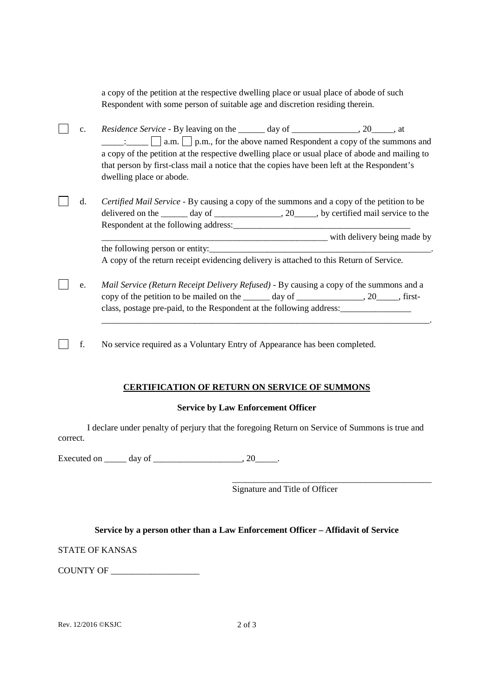a copy of the petition at the respective dwelling place or usual place of abode of such Respondent with some person of suitable age and discretion residing therein.

- c. *Residence Service -* By leaving on the \_\_\_\_\_\_ day of \_\_\_\_\_\_\_\_\_\_\_\_\_\_\_, 20\_\_\_\_\_, at  $\Box$  a.m.  $\Box$  p.m., for the above named Respondent a copy of the summons and a copy of the petition at the respective dwelling place or usual place of abode and mailing to that person by first-class mail a notice that the copies have been left at the Respondent's dwelling place or abode.
- $\Box$ d. *Certified Mail Service -* By causing a copy of the summons and a copy of the petition to be delivered on the  $\qquad \qquad$  day of  $\qquad \qquad$ , 20, by certified mail service to the Respondent at the following address:

\_\_\_\_\_\_\_\_\_\_\_\_\_\_\_\_\_\_\_\_\_\_\_\_\_\_\_\_\_\_\_\_\_\_\_\_\_\_\_\_\_\_\_\_\_\_\_\_\_\_\_ with delivery being made by the following person or entity: A copy of the return receipt evidencing delivery is attached to this Return of Service.

\_\_\_\_\_\_\_\_\_\_\_\_\_\_\_\_\_\_\_\_\_\_\_\_\_\_\_\_\_\_\_\_\_\_\_\_\_\_\_\_\_\_\_\_\_\_\_\_\_\_\_\_\_\_\_\_\_\_\_\_\_\_\_\_\_\_\_\_\_\_\_\_\_\_.

- e. *Mail Service (Return Receipt Delivery Refused)* By causing a copy of the summons and a copy of the petition to be mailed on the day of the state of the state of the state of the day of state of the state of the state of the state of the state of the state of the state of the state of the state of the state o class, postage pre-paid, to the Respondent at the following address:\_\_\_\_\_\_\_\_\_\_\_\_\_\_\_\_
- $\Box$ f. No service required as a Voluntary Entry of Appearance has been completed.

## **CERTIFICATION OF RETURN ON SERVICE OF SUMMONS**

## **Service by Law Enforcement Officer**

I declare under penalty of perjury that the foregoing Return on Service of Summons is true and correct.

Executed on day of the case of the case of the case of the case of the case of the case of the case of the case of the case of the case of the case of the case of the case of the case of the case of the case of the case of

\_\_\_\_\_\_\_\_\_\_\_\_\_\_\_\_\_\_\_\_\_\_\_\_\_\_\_\_\_\_\_\_\_\_\_\_\_\_\_\_\_\_\_\_\_ Signature and Title of Officer

**Service by a person other than a Law Enforcement Officer – Affidavit of Service**

STATE OF KANSAS

COUNTY OF \_\_\_\_\_\_\_\_\_\_\_\_\_\_\_\_\_\_\_\_

Rev.  $12/2016$  ©KSJC 2 of 3